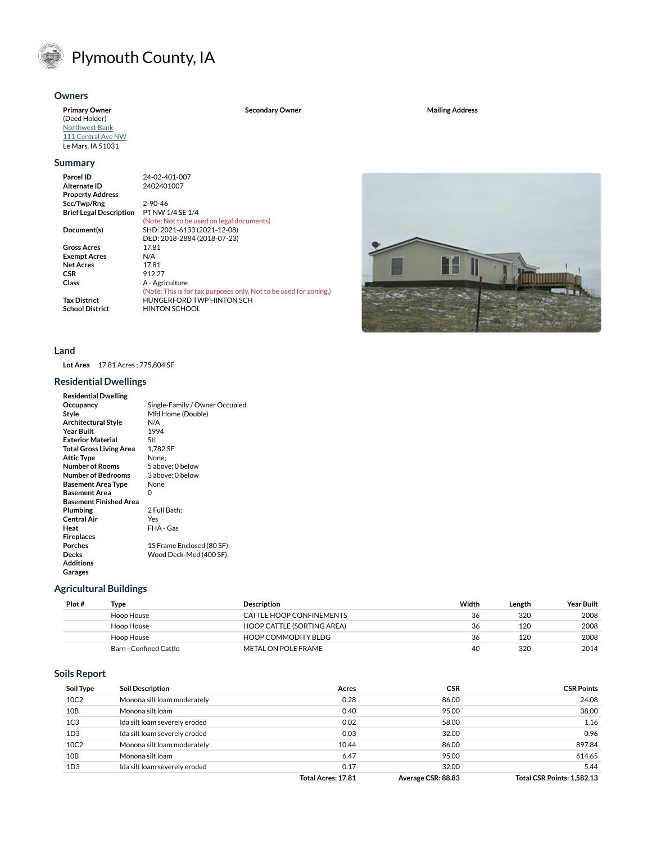

# Plymouth County, IA

#### **[Owners](https://beacon.schneidercorp.com/Application.aspx?AppID=1012&LayerID=20762&PageTypeID=4&PageID=8985&Q=2065587644&KeyValue=24-02-401-007)**

**Primary Owner** (Deed Holder) [Northwest](javascript:__doPostBack() Bank 111 [Central](javascript:__doPostBack() Ave NW Le Mars, IA 51031

#### **[Summary](https://beacon.schneidercorp.com/Application.aspx?AppID=1012&LayerID=20762&PageTypeID=4&PageID=8985&Q=756416071&KeyValue=24-02-401-007)**

| Parcel ID                      | 24-02-401-007                                                     |
|--------------------------------|-------------------------------------------------------------------|
| Alternate ID                   | 2402401007                                                        |
| <b>Property Address</b>        |                                                                   |
| Sec/Twp/Rng                    | $2 - 90 - 46$                                                     |
| <b>Brief Legal Description</b> | PT NW 1/4 SE 1/4                                                  |
|                                | (Note: Not to be used on legal documents)                         |
| Document(s)                    | SHD: 2021-6133 (2021-12-08)                                       |
|                                | DED: 2018-2884 (2018-07-23)                                       |
| <b>Gross Acres</b>             | 17.81                                                             |
| <b>Exempt Acres</b>            | N/A                                                               |
| <b>Net Acres</b>               | 17.81                                                             |
| <b>CSR</b>                     | 912.27                                                            |
| Class                          | A - Agriculture                                                   |
|                                | (Note: This is for tax purposes only. Not to be used for zoning.) |
| <b>Tax District</b>            | HUNGERFORD TWP HINTON SCH                                         |
| <b>School District</b>         | <b>HINTON SCHOOL</b>                                              |

**Secondary Owner Mailing Address**



#### **[Land](https://beacon.schneidercorp.com/Application.aspx?AppID=1012&LayerID=20762&PageTypeID=4&PageID=8985&Q=1946100036&KeyValue=24-02-401-007)**

**Lot Area** 17.81 Acres ; 775,804 SF

#### **[Residential](https://beacon.schneidercorp.com/Application.aspx?AppID=1012&LayerID=20762&PageTypeID=4&PageID=8985&Q=1946100036&KeyValue=24-02-401-007) Dwellings**

| <b>Residential Dwelling</b>    |                                |
|--------------------------------|--------------------------------|
| Occupancy                      | Single-Family / Owner Occupied |
| Style                          | Mfd Home (Double)              |
| <b>Architectural Style</b>     | N/A                            |
| <b>Year Built</b>              | 1994                           |
| <b>Exterior Material</b>       | Stl                            |
| <b>Total Gross Living Area</b> | 1,782 SF                       |
| <b>Attic Type</b>              | None:                          |
| <b>Number of Rooms</b>         | 5 above; 0 below               |
| <b>Number of Bedrooms</b>      | 3 above; 0 below               |
| <b>Basement Area Type</b>      | None                           |
| <b>Basement Area</b>           | 0                              |
| <b>Basement Finished Area</b>  |                                |
| Plumbing                       | 2 Full Bath:                   |
| Central Air                    | Yes                            |
| Heat                           | FHA - Gas                      |
| <b>Fireplaces</b>              |                                |
| <b>Porches</b>                 | 1S Frame Enclosed (80 SF);     |
| Decks                          | Wood Deck-Med (400 SF);        |
| <b>Additions</b>               |                                |
| Garages                        |                                |

### **[Agricultural](https://beacon.schneidercorp.com/Application.aspx?AppID=1012&LayerID=20762&PageTypeID=4&PageID=8985&Q=569144317&KeyValue=24-02-401-007) Buildings**

| Plot# | Type                   | Description                | Width | Length | <b>Year Built</b> |
|-------|------------------------|----------------------------|-------|--------|-------------------|
|       | Hoop House             | CATTLE HOOP CONFINEMENTS   | 36    | 320    | 2008              |
|       | Hoop House             | HOOP CATTLE (SORTING AREA) | 36    | 120    | 2008              |
|       | Hoop House             | HOOP COMMODITY BLDG        | 36    | 120    | 2008              |
|       | Barn - Confined Cattle | METAL ON POLE FRAME        | 40    | 320    | 2014              |

### **Soils [Report](https://beacon.schneidercorp.com/Application.aspx?AppID=1012&LayerID=20762&PageTypeID=4&PageID=8985&Q=569144317&KeyValue=24-02-401-007)**

| Soil Type        | <b>Soil Description</b>       | Acres                     | <b>CSR</b>         | <b>CSR Points</b>          |
|------------------|-------------------------------|---------------------------|--------------------|----------------------------|
| 10C <sub>2</sub> | Monona silt loam moderately   | 0.28                      | 86.00              | 24.08                      |
| 10B              | Monona silt Ioam              | 0.40                      | 95.00              | 38.00                      |
| 1C <sub>3</sub>  | Ida silt Ioam severely eroded | 0.02                      | 58.00              | 1.16                       |
| 1D <sub>3</sub>  | Ida silt loam severely eroded | 0.03                      | 32.00              | 0.96                       |
| 10C <sub>2</sub> | Monona silt loam moderately   | 10.44                     | 86.00              | 897.84                     |
| 10B              | Monona silt Ioam              | 6.47                      | 95.00              | 614.65                     |
| 1D <sub>3</sub>  | Ida silt loam severely eroded | 0.17                      | 32.00              | 5.44                       |
|                  |                               | <b>Total Acres: 17.81</b> | Average CSR: 88.83 | Total CSR Points: 1.582.13 |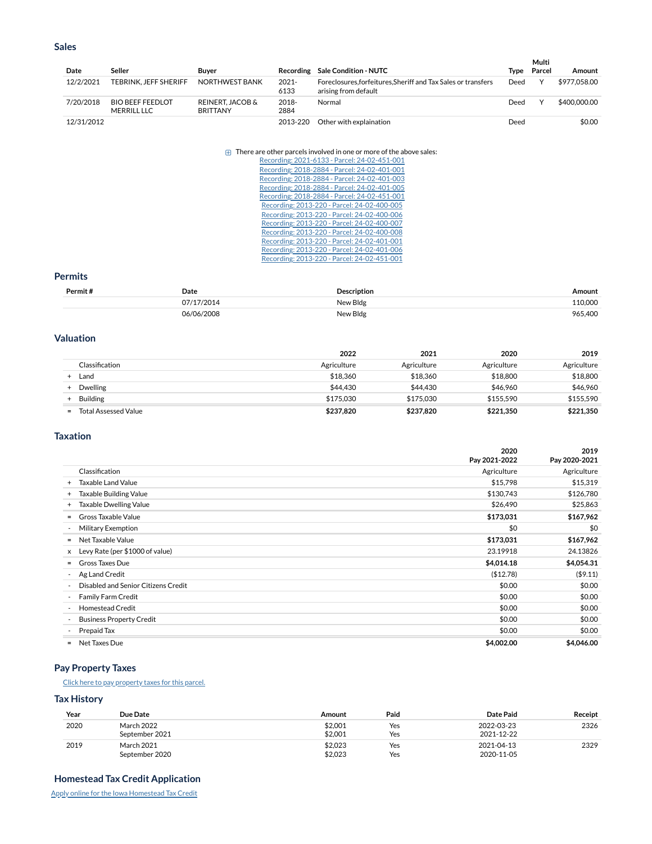### **[Sales](https://beacon.schneidercorp.com/Application.aspx?AppID=1012&LayerID=20762&PageTypeID=4&PageID=8985&Q=217772426&KeyValue=24-02-401-007)**

| Date |            | Seller                                 | <b>Buver</b>                                   |                  | Recording Sale Condition - NUTC                                                        | Type | Multi<br>Parcel | Amount       |
|------|------------|----------------------------------------|------------------------------------------------|------------------|----------------------------------------------------------------------------------------|------|-----------------|--------------|
|      | 12/2/2021  | TEBRINK. JEFF SHERIFF                  | NORTHWEST BANK                                 | $2021 -$<br>6133 | Foreclosures, for feitures, Sheriff and Tax Sales or transfers<br>arising from default | Deed |                 | \$977.058.00 |
|      | 7/20/2018  | <b>BIO BEEF FEEDLOT</b><br>MERRILL LLC | <b>REINERT, JACOB &amp;</b><br><b>BRITTANY</b> | $2018 -$<br>2884 | Normal                                                                                 | Deed |                 | \$400,000.00 |
|      | 12/31/2012 |                                        |                                                | 2013-220         | Other with explaination                                                                | Deed |                 | \$0.00       |

#### $\boxplus$  There are other parcels involved in one or more of the above sales:

| Recording: 2021-6133 - Parcel: 24-02-451-001 |
|----------------------------------------------|
| Recording: 2018-2884 - Parcel: 24-02-401-001 |
| Recording: 2018-2884 - Parcel: 24-02-401-003 |
| Recording: 2018-2884 - Parcel: 24-02-401-005 |
| Recording: 2018-2884 - Parcel: 24-02-451-001 |
| Recording: 2013-220 - Parcel: 24-02-400-005  |
| Recording: 2013-220 - Parcel: 24-02-400-006  |
| Recording: 2013-220 - Parcel: 24-02-400-007  |
| Recording: 2013-220 - Parcel: 24-02-400-008  |
| Recording: 2013-220 - Parcel: 24-02-401-001  |
| Recording: 2013-220 - Parcel: 24-02-401-006  |
| Recording: 2013-220 - Parcel: 24-02-451-001  |
|                                              |

#### **[Permits](https://beacon.schneidercorp.com/Application.aspx?AppID=1012&LayerID=20762&PageTypeID=4&PageID=8985&Q=217772426&KeyValue=24-02-401-007)**

| Permit# | Date   | Description | Amount  |
|---------|--------|-------------|---------|
|         | 171001 | New Blds    | 10.000  |
|         |        | New Blds    | 965.400 |

### **[Valuation](https://beacon.schneidercorp.com/Application.aspx?AppID=1012&LayerID=20762&PageTypeID=4&PageID=8985&Q=217772426&KeyValue=24-02-401-007)**

|                                    | 2022        | 2021        | 2020        | 2019        |
|------------------------------------|-------------|-------------|-------------|-------------|
| Classification                     | Agriculture | Agriculture | Agriculture | Agriculture |
| Land                               | \$18,360    | \$18,360    | \$18,800    | \$18,800    |
| <b>Dwelling</b>                    | \$44,430    | \$44,430    | \$46,960    | \$46,960    |
| <b>Building</b>                    | \$175,030   | \$175,030   | \$155.590   | \$155.590   |
| <b>Total Assessed Value</b><br>$=$ | \$237,820   | \$237,820   | \$221,350   | \$221,350   |

#### **[Taxation](https://beacon.schneidercorp.com/Application.aspx?AppID=1012&LayerID=20762&PageTypeID=4&PageID=8985&Q=988300354&KeyValue=24-02-401-007)**

|                                   | 2020                                          | 2019          |
|-----------------------------------|-----------------------------------------------|---------------|
|                                   | Pay 2021-2022                                 | Pay 2020-2021 |
| Classification                    | Agriculture                                   | Agriculture   |
| Taxable Land Value<br>$+$         | \$15,798                                      | \$15,319      |
| $+$                               | \$130,743<br>Taxable Building Value           | \$126,780     |
| $+$                               | \$26,490<br><b>Taxable Dwelling Value</b>     | \$25,863      |
| <b>Gross Taxable Value</b><br>$=$ | \$173,031                                     | \$167,962     |
| <b>Military Exemption</b>         | \$0                                           | \$0           |
| Net Taxable Value<br>$=$          | \$173,031                                     | \$167,962     |
| $\times$                          | Levy Rate (per \$1000 of value)<br>23.19918   | 24.13826      |
| Gross Taxes Due<br>$=$            | \$4,014.18                                    | \$4,054.31    |
| Ag Land Credit                    | (\$12.78)                                     | ( \$9.11)     |
|                                   | Disabled and Senior Citizens Credit<br>\$0.00 | \$0.00        |
| <b>Family Farm Credit</b>         | \$0.00                                        | \$0.00        |
| <b>Homestead Credit</b>           | \$0.00                                        | \$0.00        |
|                                   | \$0.00<br><b>Business Property Credit</b>     | \$0.00        |
| Prepaid Tax                       | \$0.00                                        | \$0.00        |
| Net Taxes Due<br>$=$              | \$4,002.00                                    | \$4,046.00    |

# **Pay [Property](https://beacon.schneidercorp.com/Application.aspx?AppID=1012&LayerID=20762&PageTypeID=4&PageID=8985&Q=988300354&KeyValue=24-02-401-007) Taxes**

### Click here to [pay property taxes](https://www.iowatreasurers.org/parceldetail.php?idCounty=75&parcel=000024-02-401-007) for this parcel.

**Tax [History](https://beacon.schneidercorp.com/Application.aspx?AppID=1012&LayerID=20762&PageTypeID=4&PageID=8985&Q=988300354&KeyValue=24-02-401-007)**

| Year | Due Date                     | Amount             | Paid       | Date Paid                | Receipt |
|------|------------------------------|--------------------|------------|--------------------------|---------|
| 2020 | March 2022<br>September 2021 | \$2.001<br>\$2,001 | Yes<br>Yes | 2022-03-23<br>2021-12-22 | 2326    |
| 2019 | March 2021<br>September 2020 | \$2.023<br>\$2.023 | Yes<br>Yes | 2021-04-13<br>2020-11-05 | 2329    |

## **Homestead Tax Credit [Application](https://beacon.schneidercorp.com/Application.aspx?AppID=1012&LayerID=20762&PageTypeID=4&PageID=8985&Q=1758828282&KeyValue=24-02-401-007)**

[Apply online](https://beacon.schneidercorp.com/Modules/Vendors/Gen1/Homestead/Iowa/Application12092019.aspx?p=H23CGiWOYWk3mefeoS-CaQJe6-46KJGJajxjx0c7I-slrRAjV8u06yc7N7ulCLgyDBNNEHfLd3JrCcYrP4Al7wvjKh3EeGoCW9vQaDwtadlWYDMJwuqjuc7B9mBtGC-0OzZyrUqlUS6HoJBWhLYVFsvdjt9l69WoQ4cJgm_-bjvZiBI5VsSJ8nvthcG3cim6E8cM6ROHUs2ODCeaggfFr15A2fBbUcjr6l-LkvkMpZyETrIoARzS3oWjo3NqnCKG0&QPS=PQP8s_vJoU7ktQsZj_lQFore5zeoPZodBbCuDRrXBh141dIqGDEsUQnbqicjGUVd54_jckWA2316PYNMh9TeLQENKxgIFfJ4ZVgqpQhM-xCdn10pJd9rjq90WDAmSFTSCAZP-ESz9dzBgsQZ1vreklrGbo19mUKUyhd_w_lukLwyxLA8s1Hj19WpAKTT0uMVqjQEYGbJKH5kMzAPx1NmMwpSqRlAjyIGE5yfv_UwjV_KgM7b9912SF2860VNuE9BPiIG9dRsBqrjkW1LLxR3WXiLa0FeCLonZHC6A_qyI9w1) for the Iowa Homestead Tax Credit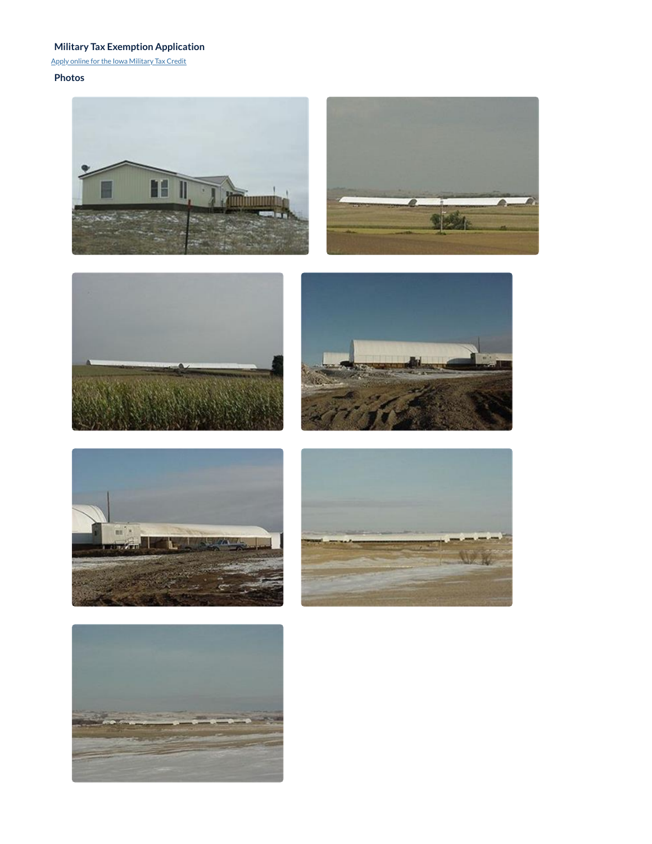# **Military Tax Exemption [Application](https://beacon.schneidercorp.com/Application.aspx?AppID=1012&LayerID=20762&PageTypeID=4&PageID=8985&Q=1758828282&KeyValue=24-02-401-007)**

[Apply online](https://beacon.schneidercorp.com/Modules/Vendors/Gen1/Military/Iowa/Application.aspx?p=I1NiYAs6w3f8rJH5noYgqt84UKLdznaAKw-yAXm3lwnqoEYNTGZPLYNh9fT5EXlb_6CpuydqM5hVyuir4dZYPt7Do2hwAD5vixyY4Ppp0MIukP2uABH0SMzCI-JFxNTgHzcDYk3FQfunEY00G0qhoH_763_lbjKr4S-4UpIrlxGTP01M7DZXRG43HWV98_xXEaReGnscuVEDWn76Jnu2USELbvF36gSalBgy1uAKdPUVxrFsm1lSOfMTZickJXh3c4UjlYQv2BfDPGDo4VzehA2&QPS=roKRzEPU2ODDsYTHPNvn-BnFtd9SoEIvhaR1xmZZBXNrX2a37Tk3LLRTQVKQYoi_fMUz4lkbq9KLKztRylsQeN0B2VMaoTlh054Kxis5DzeUQ1lsdbNHcIVTSo064pKpGArwU4CzsP6wv0KulVDhqGSHsB69rZBGDxJc5ndXOCxYur4XVsXhRaD9YW7sYniwt0X4U0VGpQmmblG08BkucPoKQ9DHtD14QxMd5LEBeb_UtYKMBzCevfeLuA2GEpVXpecGzKSi1WuHVceCzLFWFUespRuJ--hPz7qhcx9HIGo1) for the Iowa Military Tax Credit

# **[Photos](https://beacon.schneidercorp.com/Application.aspx?AppID=1012&LayerID=20762&PageTypeID=4&PageID=8985&Q=1758828282&KeyValue=24-02-401-007)**